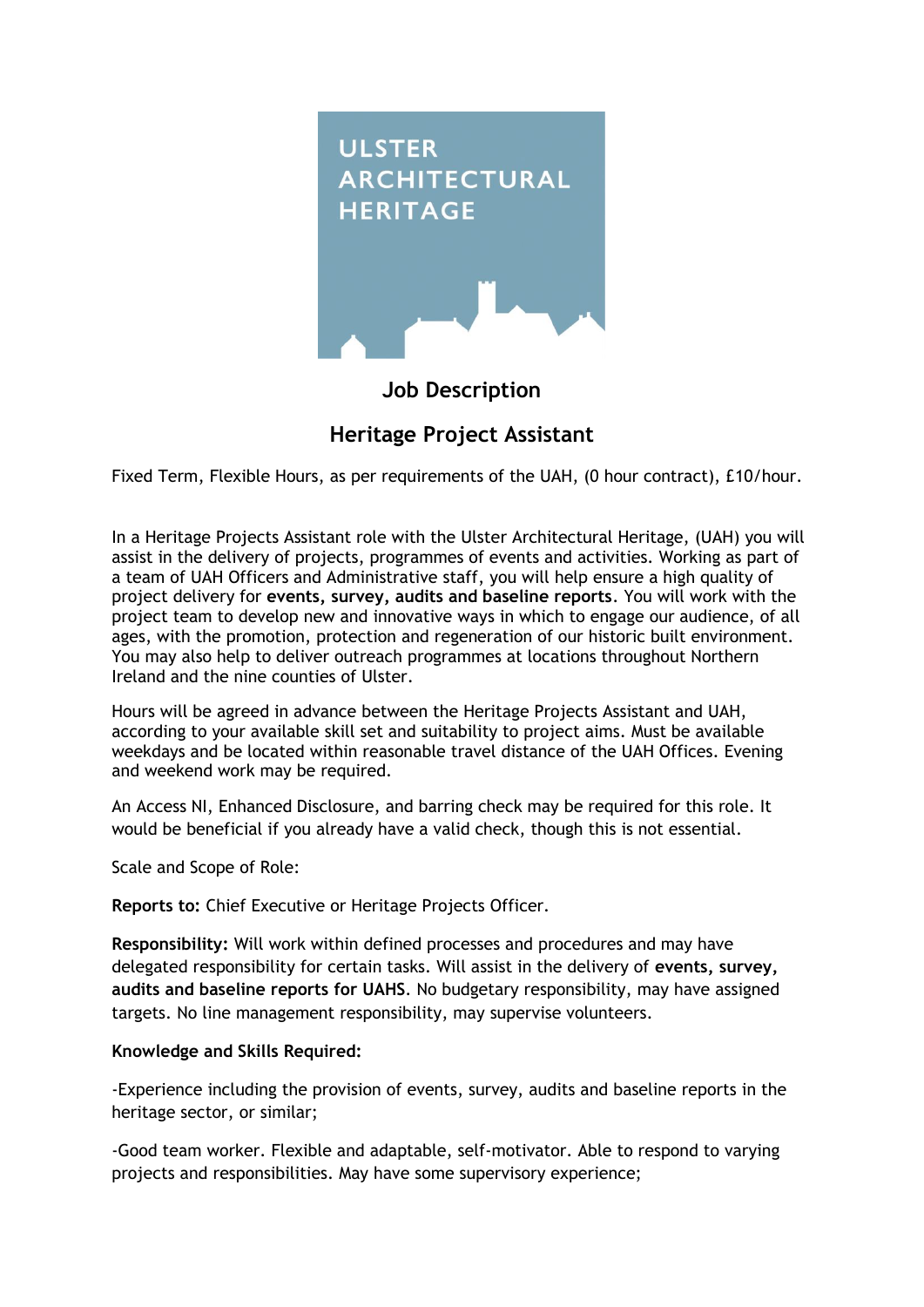

## **Job Description**

# **Heritage Project Assistant**

Fixed Term, Flexible Hours, as per requirements of the UAH, (0 hour contract), £10/hour.

In a Heritage Projects Assistant role with the Ulster Architectural Heritage, (UAH) you will assist in the delivery of projects, programmes of events and activities. Working as part of a team of UAH Officers and Administrative staff, you will help ensure a high quality of project delivery for **events, survey, audits and baseline reports**. You will work with the project team to develop new and innovative ways in which to engage our audience, of all ages, with the promotion, protection and regeneration of our historic built environment. You may also help to deliver outreach programmes at locations throughout Northern Ireland and the nine counties of Ulster.

Hours will be agreed in advance between the Heritage Projects Assistant and UAH, according to your available skill set and suitability to project aims. Must be available weekdays and be located within reasonable travel distance of the UAH Offices. Evening and weekend work may be required.

An Access NI, Enhanced Disclosure, and barring check may be required for this role. It would be beneficial if you already have a valid check, though this is not essential.

Scale and Scope of Role:

**Reports to:** Chief Executive or Heritage Projects Officer.

**Responsibility:** Will work within defined processes and procedures and may have delegated responsibility for certain tasks. Will assist in the delivery of **events, survey, audits and baseline reports for UAHS**. No budgetary responsibility, may have assigned targets. No line management responsibility, may supervise volunteers.

#### **Knowledge and Skills Required:**

-Experience including the provision of events, survey, audits and baseline reports in the heritage sector, or similar;

-Good team worker. Flexible and adaptable, self-motivator. Able to respond to varying projects and responsibilities. May have some supervisory experience;